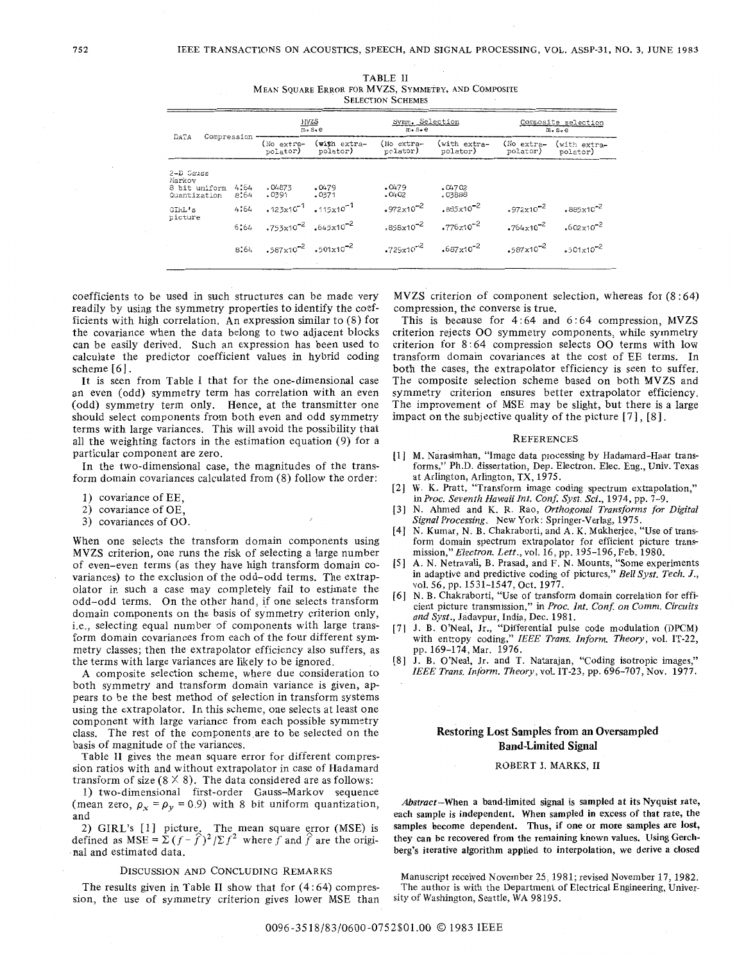| <b>SELECTION SCHEMES</b>                             |              |                                         |                                                                              |                                                |                                         |                                                |                                                |  |
|------------------------------------------------------|--------------|-----------------------------------------|------------------------------------------------------------------------------|------------------------------------------------|-----------------------------------------|------------------------------------------------|------------------------------------------------|--|
|                                                      |              | $MVZS$<br>$m_S$ , e                     |                                                                              | Symm. Selection<br>$m_{\bullet} s_{\bullet} e$ |                                         | Composite selection<br>$m_• s_• e$             |                                                |  |
| DATA                                                 | Compression  | (No extra-<br>polator)                  | (with extra-<br>polator)                                                     | (No extra-<br>polator)                         | (with extra-<br>polator)                | (No extra-<br>polator)                         | (with extra-<br>polator)                       |  |
| 2-D Gauss<br>Markov<br>8 bit uniform<br>Quantization | 4:64<br>8:64 | .04873<br>.0391                         | .0479<br>.0371                                                               | .0479<br>0402                                  | .04702<br>.03888                        |                                                |                                                |  |
| GIRL's<br>picture                                    | 4:64<br>6:64 |                                         | $.123 \times 10^{-1}$ $.115 \times 10^{-1}$<br>$.753x10^{-2}$ $.645x10^{-2}$ | $.972 \times 10^{-2}$<br>$.858x10^{-2}$        | $.885x10^{-2}$<br>$3776 \times 10^{-2}$ | $.972 \times 10^{-2}$<br>$.764 \times 10^{-2}$ | $.885 \times 10^{-2}$<br>$.602 \times 10^{-2}$ |  |
|                                                      | 8:64         | $.587\times10^{-2}$ $.501\times10^{-2}$ |                                                                              | $.729x10^{-2}$                                 | $.687x10^{-2}$                          | $.587 \times 10^{-2}$                          | $501x10^{-2}$                                  |  |

|                          | <b>TABLE II</b>                                     |  |  |  |  |  |  |  |
|--------------------------|-----------------------------------------------------|--|--|--|--|--|--|--|
|                          | MEAN SOUARE ERROR FOR MVZS, SYMMETRY, AND COMPOSITE |  |  |  |  |  |  |  |
| <b>SELECTION SCHEMES</b> |                                                     |  |  |  |  |  |  |  |

coefficients to be used in such structures can be made very readily by using the symmetry properties to identify the coefficients with high correlation. An expression similar to  $(8)$  for the covariance when the data belong to two adjacent blocks can be easily derived. Such an expression has been used to calculate the predictor coefficient values in hybrid coding scheme  $[6]$ .

It is seen from Table I that for the one-dimensional case an even (odd) symmetry term has correlation with an even (odd) symmetry term only. Hence, at the transmitter one should select components from both even and odd symmetry terms with large variances. This will avoid the possibility that all the weighting factors in the estimation equation (9) for a particular component are zero.

In the two-dimensional case, the magnitudes of the transform domain covariances calculated from (8) follow the order:

- 1) covariance of EE,
- 2) covariance of OE,
- 3) covariances of OO.

When one selects the transform domain components using MVZS criterion, one runs the risk of selecting a large number of even-even terms (as they have high transform domain covariances) to the exclusion of the odd-odd terms. The extrapolator in such a case may completely fail to estimate the odd-odd terms. On the other hand, if one selects transform domain components on the basis of symmetry criterion only, i.e., selecting equal number of components with large transform domain covariances from each of the four different symmetry classes; then the extrapolator efficiency also suffers, as the terms with large variances are likely to be ignored.

A composite selection scheme, where due consideration to both symmetry and transform domain variance is given, appears to be the best method of selection in transform systems using the extrapolator. In this scheme, one selects at least one component with large variance from each possible symmetry class. The rest of the components are to be selected on the basis of magnitude of the variances.

Table II gives the mean square error for different compression ratios with and without extrapolator in case of Hadamard transform of size  $(8 \times 8)$ . The data considered are as follows:

1) two-dimensional first-order Gauss-Markov sequence (mean zero,  $\rho_x = \rho_y = 0.9$ ) with 8 bit uniform quantization, and

2) GIRL's [1] picture. The mean square error (MSE) is defined as MSE =  $\sum (f - \hat{f})^2 / \sum f^2$  where f and  $\hat{f}$  are the original and estimated data.

### DISCUSSION AND CONCLUDING REMARKS

The results given in Table II show that for  $(4:64)$  compression, the use of symmetry criterion gives lower MSE than MVZS criterion of component selection, whereas for  $(8:64)$ compression, the converse is true.

This is because for 4:64 and 6:64 compression, MVZS criterion rejects OO symmetry components, while symmetry criterion for 8:64 compression selects OO terms with low transform domain covariances at the cost of EE terms. In both the cases, the extrapolator efficiency is seen to suffer. The composite selection scheme based on both MVZS and symmetry criterion ensures better extrapolator efficiency. The improvement of MSE may be slight, but there is a large impact on the subjective quality of the picture  $[7]$ ,  $[8]$ .

#### **REFERENCES**

- [1] M. Narasimhan, "Image data processing by Hadamard-Haar transforms," Ph.D. dissertation, Dep. Electron. Elec. Eng., Univ. Texas at Arlington, Arlington, TX, 1975.<br>W. K. Pratt, "Transform image coding spectrum extrapolation,"
- $\lceil 2 \rceil$ in Proc. Seventh Hawaii Int. Conf. Syst. Sci., 1974, pp. 7-9.
- [3] N. Ahmed and K. R. Rao, Orthogonal Transforms for Digital Signal Processing. New York: Springer-Verlag, 1975.
- [4] N. Kumar, N. B. Chakraborti, and A. K. Mukherjee, "Use of transform domain spectrum extrapolator for efficient picture transmission," Electron. Lett., vol. 16, pp. 195-196, Feb. 1980.
- A. N. Netravali, B. Prasad, and F. N. Mounts, "Some experiments in adaptive and predictive coding of pictures," Bell Syst. Tech. J.,  $\lceil 5 \rceil$ vol. 56, pp. 1531-1547, Oct. 1977.
- [6] N. B. Chakraborti, "Use of transform domain correlation for efficient picture transmission," in Proc. Int. Conf. on Comm. Circuits and Syst., Jadavpur, India, Dec. 1981.<br>J. B. O'Neal, Jr., "Differential pulse code modulation (DPCM)
- $[7]$ with entropy coding," IEEE Trans. Inform. Theory, vol. IT-22, pp. 169-174, Mar. 1976.
- [8] J. B. O'Neal, Jr. and T. Natarajan, "Coding isotropic images," IEEE Trans. Inform. Theory, vol. IT-23, pp. 696-707, Nov. 1977.

## **Restoring Lost Samples from an Oversampled Band-Limited Signal**

## ROBERT J. MARKS, II

Abstract-When a band-limited signal is sampled at its Nyquist rate, each sample is independent. When sampled in excess of that rate, the samples become dependent. Thus, if one or more samples are lost, they can be recovered from the remaining known values. Using Gerchberg's iterative algorithm applied to interpolation, we derive a closed

Manuscript received November 25, 1981; revised November 17, 1982. The author is with the Department of Electrical Engineering, University of Washington, Seattle, WA 98195.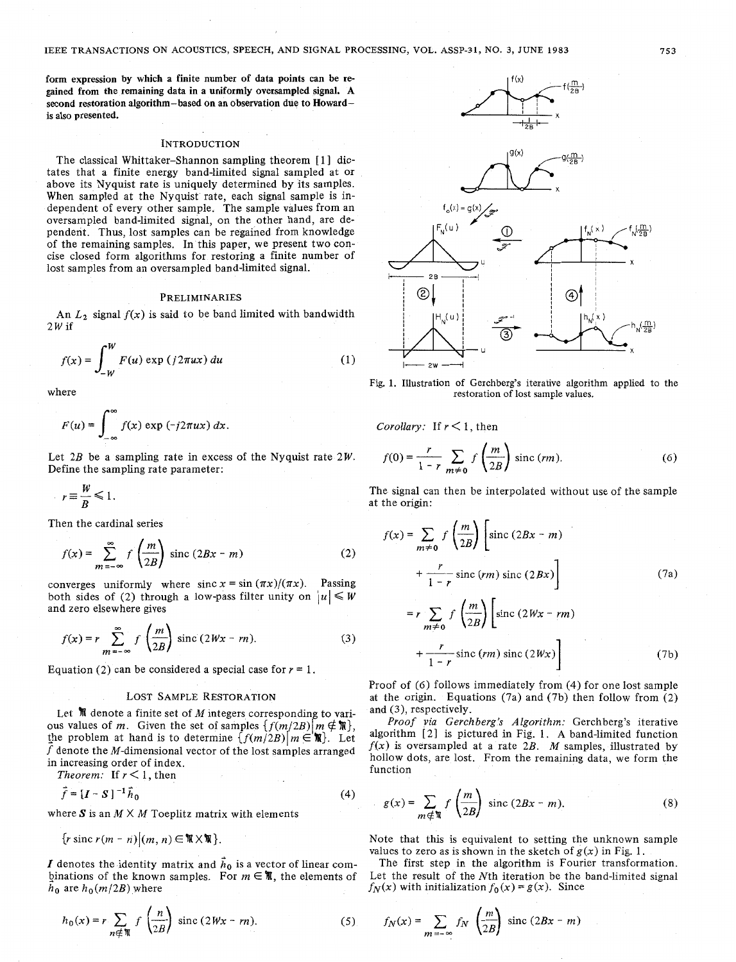**form** expression by which a finite number **of** data points can be regained from the remaining data in a uniformly oversampled signal. **A**  second restoration algorithm-based on an observation due to Howardis also presented.

#### **INTRODUCTION**

The classical Whittaker-Shannon sampling theorem [1] dictates that a finite energy band-limited signal sampled at or above its Nyquist rate is uniquely determined by its samples. When sampled at the Nyquist rate, each signal sample is independent of every other sample. The sample values from an oversampled band-limited signal, on the other hand, are dependent. Thus, lost samples can be regained from knowledge of the remaining samples. In this paper, we present two concise closed form algorithms for restoring a finite number of lost samples from an oversampled band-limited signal.

## **PRELIMINARIES**

An  $L_2$  signal  $f(x)$  is said to be band limited with bandwidth  $2W$  if

$$
f(x) = \int_{-W}^{W} F(u) \exp\left(j2\pi ux\right) du \tag{1}
$$

$$
F(u) = \int_{-\infty}^{\infty} f(x) \exp(-j2\pi ux) dx
$$

Let  $2B$  be a sampling rate in excess of the Nyquist rate  $2W$ . Define the sampling rate parameter:

$$
r \equiv \frac{W}{B} \le 1.
$$

Then the cardinal series

$$
f(x) = \sum_{m = -\infty}^{\infty} f\left(\frac{m}{2B}\right) \text{ sinc}(2Bx - m) \tag{2}
$$

converges uniformly where sinc  $x = \sin(\pi x)/(\pi x)$ . Passing both sides of (2) through a low-pass filter unity on  $|u| \leq W$ and zero elsewhere gives

$$
f(x) = r \sum_{m = -\infty}^{\infty} f\left(\frac{m}{2B}\right) \text{ sinc } (2Wx - rn). \tag{3}
$$

Equation (2) can be considered a special case for  $r = 1$ .

### LOST **SAMPLE RESTORATION**

Let  $\mathcal M$  denote a finite set of *M* integers corresponding to various values of *m*. Given the set of samples  $\{f(m/2B)|m \notin \mathbb{R}\},\$ the problem at hand is to determine  $\{f(m/2B)|m \in \mathbb{N}\}\$ . Let f denote the  $M$ -dimensional vector of the lost samples arranged in increasing order of index.

Theorem: If  $r < 1$ , then

$$
\vec{f} = \left[I - S\right]^{-1} \vec{h}_0 \tag{4}
$$

where  $S$  is an  $M \times M$  Toeplitz matrix with elements

 $\{r \text{ sinc } r(m - n) | (m, n) \in \mathbb{R} \times \mathbb{R} \}.$ 

*I* denotes the identity matrix and  $\vec{h}_0$  is a vector of linear combinations of the known samples. For  $m \in \mathbb{N}$ , the elements of  $h_0$  are  $h_0(m/2B)$  where

$$
h_0(x) = r \sum_{n \notin \mathbb{N}} f\left(\frac{n}{2B}\right) \text{ sinc } (2Wx - rn). \tag{5}
$$



where **restoration of lost sample values**.

*Corollary:* If  $r < 1$ , then

$$
f(0) = \frac{r}{1-r} \sum_{m \neq 0} f\left(\frac{m}{2B}\right) \text{sinc}(rm). \tag{6}
$$

The signal can then be interpolated without use of the sample at the origin:

$$
f(x) = \sum_{m \neq 0} f\left(\frac{m}{2B}\right) \left[\operatorname{sinc}\left(2Bx - m\right) + \frac{r}{1 - r} \operatorname{sinc}\left(rm\right) \operatorname{sinc}\left(2Bx\right)\right]
$$
(7a)  

$$
= r \sum_{m \neq 0} f\left(\frac{m}{2B}\right) \left[\operatorname{sinc}\left(2Wx - rm\right) + \frac{r}{1 - r} \operatorname{sinc}\left(rm\right) \operatorname{sinc}\left(2Wx\right)\right]
$$
(7b)

Proof of (6) follows immediately from (4) for one lost sample at the origin. Equations (7a) and (7b) then follow from (2) and *(3),* respectively.

Proof *via* Gerchberg's Algorithm: Gerchberg's iterative algorithm [ 21 is pictured in Fig. 1. **A** band-limited function  $f(x)$  is oversampled at a rate 2B. *M* samples, illustrated by hollow dots, are lost. From the remaining data, we form the function

$$
g(x) = \sum_{m \notin \mathfrak{N}} f\left(\frac{m}{2B}\right) \text{ sinc } (2Bx - m). \tag{8}
$$

Note that this is equivalent to setting the unknown sample values to zero as is shown in the sketch of  $g(x)$  in Fig. 1.

The first step in the algorithm is Fourier transformation. Let the result of the Nth iteration be the band-limited signal  $f_N(x)$  with initialization  $f_0(x) = g(x)$ . Since

$$
f_N(x) = \sum_{m = -\infty} f_N \left(\frac{m}{2B}\right) \text{ sinc}(2Bx - m)
$$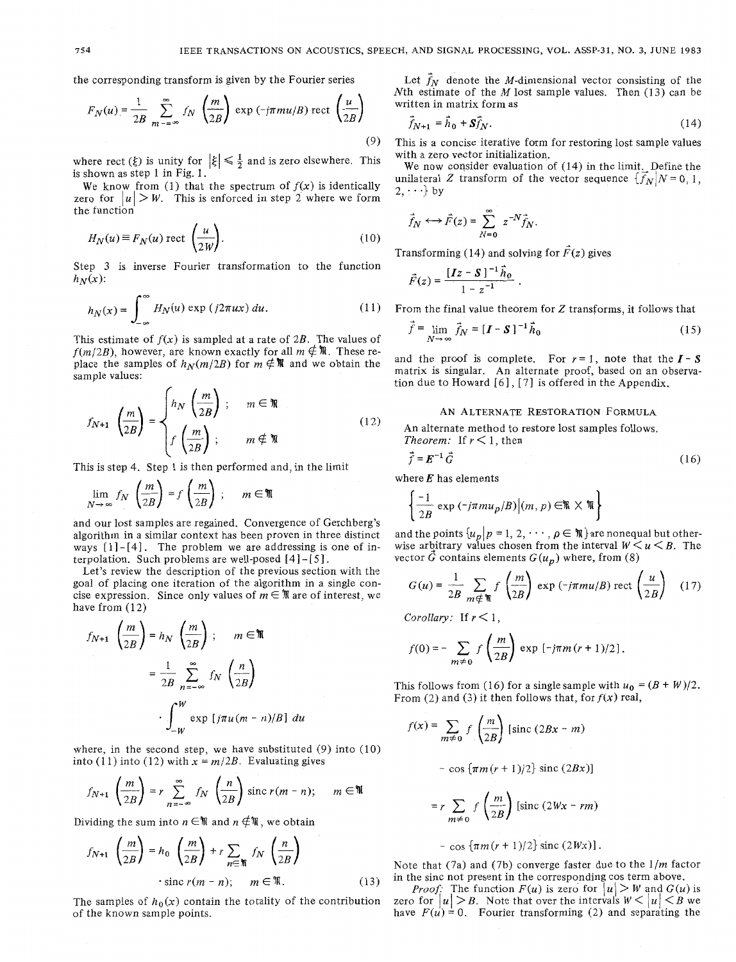the corresponding transform is given by the Fourier series

$$
F_N(u) = \frac{1}{2B} \sum_{m=-\infty}^{\infty} f_N \left(\frac{m}{2B}\right) \exp\left(-j\pi m u/B\right) \text{ rect}\left(\frac{u}{2B}\right)
$$
\n(9)

where rect  $(\xi)$  is unity for  $|\xi| \leq \frac{1}{2}$  and is zero elsewhere. This is shown as step 1 in Fig. 1.

We know from (1) that the spectrum of  $f(x)$  is identically zero for  $|u| > W$ . This is enforced in step 2 where we form the function

$$
H_N(u) \equiv F_N(u) \text{ rect } \left(\frac{u}{2W}\right). \tag{10}
$$

Step 3 is inverse Fourier transformation to the function  $h_N(x)$ :

$$
h_N(x) = \int_{-\infty}^{\infty} H_N(u) \exp(j2\pi ux) \, du. \tag{11}
$$

This estimate of  $f(x)$  is sampled at a rate of 2B. The values of  $f(m/2B)$ , however, are known exactly for all  $m \notin \mathbb{N}$ . These replace the samples of  $h_N(m/2B)$  for  $m \notin \mathbb{N}$  and we obtain the sample values:

$$
f_{N+1}\left(\frac{m}{2B}\right) = \begin{cases} h_N\left(\frac{m}{2B}\right) ; & m \in \mathbb{N} \\ f\left(\frac{m}{2B}\right) ; & m \notin \mathbb{N} \end{cases}
$$
(12)

This is step 4. Step 1 is then performed and, in the limit

$$
\lim_{N \to \infty} f_N \left( \frac{m}{2B} \right) = f \left( \frac{m}{2B} \right) ; \quad m \in \mathbb{N}
$$

and our lost samples are regained. Convergence of Gerchberg's algorithm in a similar context has been proven in three distinct ways  $[1] - [4]$ . The problem we are addressing is one of interpolation. Such problems are well-posed  $[4]$ - $[5]$ .

Let's review the description of the previous section with the goal of placing one iteration of the algorithm in a single concise expression. Since only values of  $m \in \mathbb{N}$  are of interest, we have from  $(12)$ 

$$
f_{N+1} \left(\frac{m}{2B}\right) = h_N \left(\frac{m}{2B}\right); \quad m \in \mathbb{N}
$$

$$
= \frac{1}{2B} \sum_{n=-\infty}^{\infty} f_N \left(\frac{n}{2B}\right)
$$

$$
\cdot \int_{-\infty}^{W} \exp\left[j\pi u (m-n)/B\right] du
$$

where, in the second step, we have substituted (9) into (IO) into (11) into (12) with  $x = m/2B$ . Evaluating gives

$$
f_{N+1}\left(\frac{m}{2B}\right) = r \sum_{n=-\infty}^{\infty} f_N\left(\frac{n}{2B}\right) \operatorname{sinc} r(m-n); \quad m \in \mathbb{N}
$$

Dividing the sum into  $n \in \mathbb{N}$  and  $n \notin \mathbb{N}$ , we obtain

$$
f_{N+1} \left(\frac{m}{2B}\right) = h_0 \left(\frac{m}{2B}\right) + r \sum_{n \in \mathbb{N}} f_N \left(\frac{n}{2B}\right)
$$
  
 
$$
\text{sinc } r(m - n); \qquad m \in \mathbb{N}.
$$
 (13)

The samples of  $h_0(x)$  contain the totality of the contribution of the known sample points.

Let  $f_N$  denote the *M*-dimensional vector consisting of the Nth estimate of the M lost sample values. Then  $(13)$  can be written in matrix form as

$$
\vec{f}_{N+1} = \vec{h}_0 + S\vec{f}_N. \tag{14}
$$

This is a concise iterative form for restoring lost sample values with a zero vector initialization.

We now consider evaluation of (14) in the limit, Define the unilateral *Z* transform of the vector sequence  $\{f_N|N=0, 1,$  $2, \cdots$  by

$$
\vec{f}_N \longleftrightarrow \vec{F}(z) = \sum_{N=0}^{\infty} z^{-N} \vec{f}_N.
$$

Transforming (14) and solving for 
$$
F(z)
$$
 gives  
\n
$$
\vec{F}(z) = \frac{[Iz - S]^{-1} \vec{h}_0}{1 - z^{-1}}.
$$

From the final value theorem for *Z* transforms, it follows that

$$
\vec{f} = \lim_{N \to \infty} \vec{f}_N = [\mathbf{I} - \mathbf{S}]^{-1} \vec{h}_0
$$
 (15)

and the proof is complete. For  $r = 1$ , note that the  $I - S$ matrix is singular. An alternate proof, based on an observation due to Howard  $[6]$ ,  $[7]$  is offered in the Appendix.

# AN ALTERNATE RESTORATION FORMULA

An alternate method to restore lost samples follows. *Theorem:* If  $r < 1$ , then

$$
\vec{f} = \vec{E}^{-1} \vec{G} \tag{16}
$$

where *E* has elements

$$
\left\lceil \frac{-1}{2B} \exp\left(-j\pi m u_p/B\right) \middle| (m, p) \in \mathbb{R} \times \mathbb{R} \right\rbrace
$$

and the points  $\{u_p | p = 1, 2, \cdots, p \in \mathbb{N}\}\$  are nonequal but otherwise arbitrary values chosen from the interval  $W \le u \le B$ . The vector  $\hat{G}$  contains elements  $G(u_n)$  where, from (8)

$$
G(u) = \frac{1}{2B} \sum_{m \notin \mathfrak{N}} f\left(\frac{m}{2B}\right) \exp\left(-j\pi m u/B\right) \text{ rect}\left(\frac{u}{2B}\right) \quad (17)
$$

*Corollary:* If  $r < 1$ ,

$$
f(0) = -\sum_{m \neq 0} f\left(\frac{m}{2B}\right) \exp\left[-j\pi m (r+1)/2\right]
$$

This follows from (16) for a single sample with  $u_0 = (B + W)/2$ . From (2) and (3) it then follows that, for  $f(x)$  real,

$$
f(x) = \sum_{m \neq 0} f\left(\frac{m}{2B}\right) \left[\text{sinc}\left(2Bx - m\right)\right]
$$

$$
-\cos\left[\pi m(r+1)/2\right]\text{ sinc}(2Bx)]
$$

$$
= r \sum_{m \neq 0} f\left(\frac{m}{2B}\right) \left[\text{sinc}\left(2Wx - rm\right)\right]
$$

$$
- \cos \left\{ \pi m(r+1)/2 \right\} \operatorname{sinc} \left( 2Wx \right) ].
$$

Note that (7a) and (7b) converge faster due to the l/m factor in the sinc not present in the corresponding cos term above.

*Proof:* The function  $F(u)$  is zero for  $|u| > W$  and  $G(u)$  is zero for  $|u| > B$ . Note that over the intervals  $W < |u| < B$  we have  $F(u) = 0$ . Fourier transforming (2) and separating the